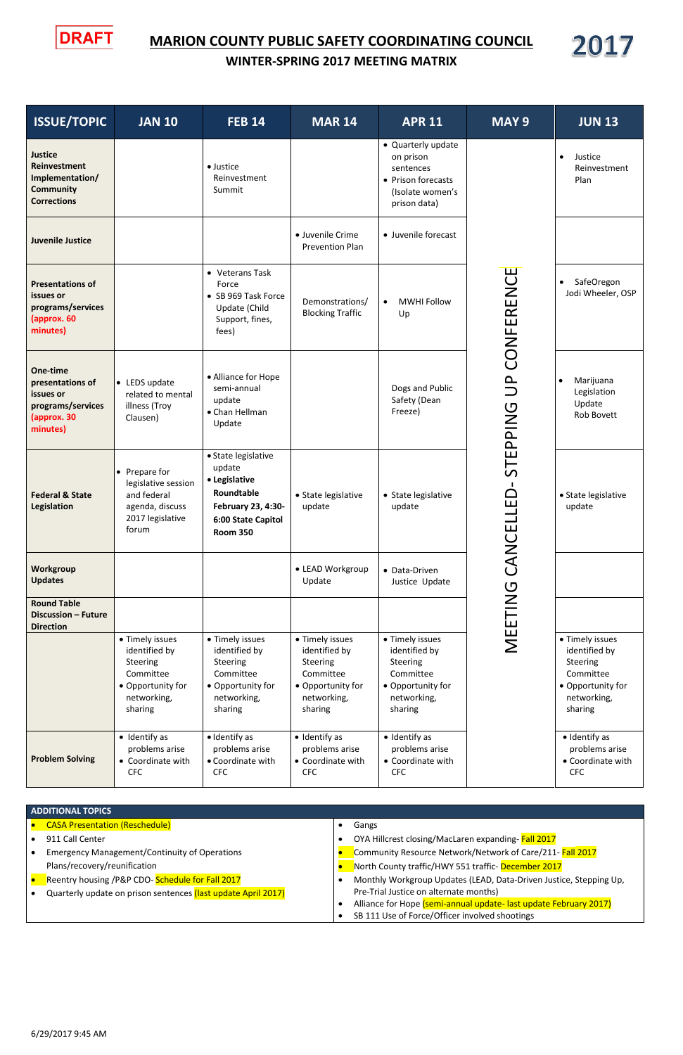## **MARION COUNTY PUBLIC SAFETY COORDINATING COUNCIL**

**ISSUE/TOPIC JAN 10 FEB 14 MAR 14 APR 11 MAY 9** 

**WINTER-SPRING 2017 MEETING MATRIX** 

**DRAFT** 

**Justice**

**Reinvestment** 

Justice

 Quarterly update on prison sentences

| 2017                            |  |
|---------------------------------|--|
| <b>JUN 13</b>                   |  |
| Justice<br>Reinvestment<br>Plan |  |
|                                 |  |
| SafeOregon<br>Jodi Wheeler, OSP |  |

| Legislation<br>Update<br>Rob Bovett |
|-------------------------------------|
|                                     |
|                                     |

| Implementation/<br><b>Community</b><br><b>Corrections</b>                                 |                                                                                                                 | Reinvestment<br>Summit                                                                                                      |                                                                                                          | • Prison forecasts<br>(Isolate women's<br>prison data)                                                   |                                             | Plan                                                                                                     |
|-------------------------------------------------------------------------------------------|-----------------------------------------------------------------------------------------------------------------|-----------------------------------------------------------------------------------------------------------------------------|----------------------------------------------------------------------------------------------------------|----------------------------------------------------------------------------------------------------------|---------------------------------------------|----------------------------------------------------------------------------------------------------------|
| <b>Juvenile Justice</b>                                                                   |                                                                                                                 |                                                                                                                             | · Juvenile Crime<br><b>Prevention Plan</b>                                                               | • Juvenile forecast                                                                                      |                                             |                                                                                                          |
| <b>Presentations of</b><br>issues or<br>programs/services<br>(approx. 60<br>minutes)      |                                                                                                                 | • Veterans Task<br>Force<br>• SB 969 Task Force<br>Update (Child<br>Support, fines,<br>fees)                                | Demonstrations/<br><b>Blocking Traffic</b>                                                               | <b>MWHI Follow</b><br>$\bullet$<br>Up                                                                    | CONFERENCE                                  | SafeOregon<br>$\bullet$<br>Jodi Wheeler, OSP                                                             |
| One-time<br>presentations of<br>issues or<br>programs/services<br>(approx. 30<br>minutes) | • LEDS update<br>related to mental<br>illness (Troy<br>Clausen)                                                 | • Alliance for Hope<br>semi-annual<br>update<br>• Chan Hellman<br>Update                                                    |                                                                                                          | Dogs and Public<br>Safety (Dean<br>Freeze)                                                               | $\frac{\mathsf{p}}{\mathsf{p}}$<br>STEPPING | Marijuana<br>$\bullet$<br>Legislation<br>Update<br>Rob Bovett                                            |
| <b>Federal &amp; State</b><br><b>Legislation</b>                                          | • Prepare for<br>legislative session<br>and federal<br>agenda, discuss<br>2017 legislative<br>forum             | • State legislative<br>update<br>• Legislative<br>Roundtable<br>February 23, 4:30-<br>6:00 State Capitol<br><b>Room 350</b> | • State legislative<br>update                                                                            | • State legislative<br>update                                                                            | <b>ANCELLED-</b>                            | • State legislative<br>update                                                                            |
| <b>Workgroup</b><br><b>Updates</b>                                                        |                                                                                                                 |                                                                                                                             | • LEAD Workgroup<br>Update                                                                               | • Data-Driven<br>Justice Update                                                                          | Ğ                                           |                                                                                                          |
| <b>Round Table</b><br><b>Discussion - Future</b><br><b>Direction</b>                      |                                                                                                                 |                                                                                                                             |                                                                                                          |                                                                                                          | MEETING                                     |                                                                                                          |
|                                                                                           | • Timely issues<br>identified by<br><b>Steering</b><br>Committee<br>• Opportunity for<br>networking,<br>sharing | • Timely issues<br>identified by<br>Steering<br>Committee<br>• Opportunity for<br>networking,<br>sharing                    | • Timely issues<br>identified by<br>Steering<br>Committee<br>• Opportunity for<br>networking,<br>sharing | • Timely issues<br>identified by<br>Steering<br>Committee<br>• Opportunity for<br>networking,<br>sharing |                                             | • Timely issues<br>identified by<br>Steering<br>Committee<br>• Opportunity for<br>networking,<br>sharing |
| <b>Problem Solving</b>                                                                    | • Identify as<br>problems arise<br>• Coordinate with<br><b>CFC</b>                                              | · Identify as<br>problems arise<br>• Coordinate with<br><b>CFC</b>                                                          | · Identify as<br>problems arise<br>• Coordinate with<br><b>CFC</b>                                       | · Identify as<br>problems arise<br>• Coordinate with<br><b>CFC</b>                                       |                                             | · Identify as<br>problems arise<br>• Coordinate with<br><b>CFC</b>                                       |

| · State legislative |
|---------------------|
| update              |

| • Timely issues |
|-----------------|
| identified by   |
| <b>Steering</b> |
| Committee       |

| • Opportunity for |
|-------------------|
| networking,       |
| sharing           |

| <b>ADDITIONAL TOPICS</b>                                      |                                                                    |
|---------------------------------------------------------------|--------------------------------------------------------------------|
| <b>CASA Presentation (Reschedule)</b>                         | Gangs                                                              |
| 911 Call Center                                               | OYA Hillcrest closing/MacLaren expanding-Fall 2017                 |
| <b>Emergency Management/Continuity of Operations</b>          | Community Resource Network/Network of Care/211- Fall 2017          |
| Plans/recovery/reunification                                  | North County traffic/HWY 551 traffic- December 2017                |
| Reentry housing /P&P CDO-Schedule for Fall 2017               | Monthly Workgroup Updates (LEAD, Data-Driven Justice, Stepping Up, |
| Quarterly update on prison sentences (last update April 2017) | Pre-Trial Justice on alternate months)                             |
|                                                               | Alliance for Hope (semi-annual update- last update February 2017)  |
|                                                               | SB 111 Use of Force/Officer involved shootings                     |